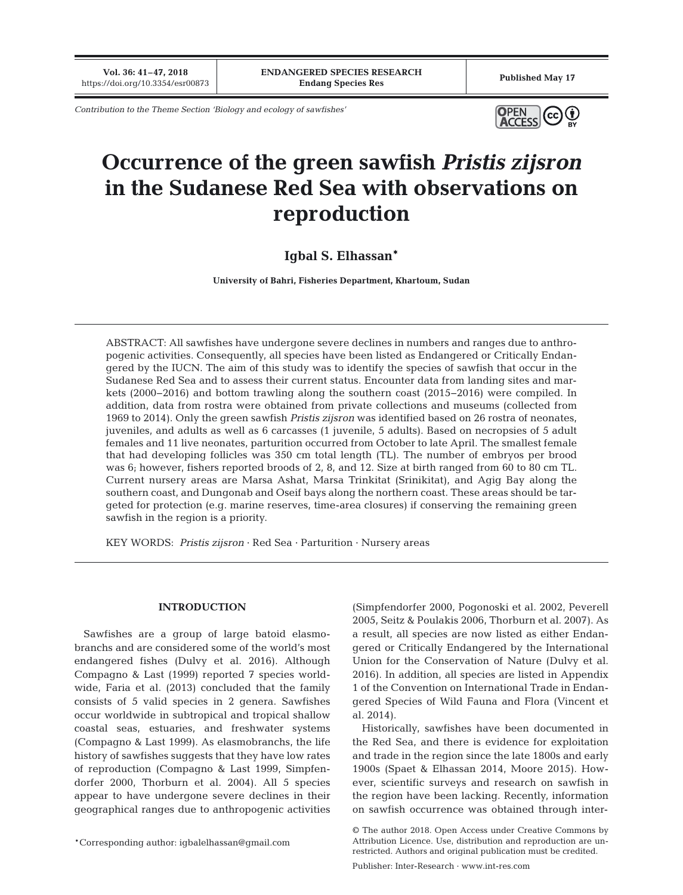**Vol. 36: 41–47, 2018**

*Contribution to the Theme Section 'Biology and ecology of sawfishes'*



# **Occurrence of the green sawfish** *Pristis zijsron* **in the Sudanese Red Sea with observations on reproduction**

## **Igbal S. Elhassan\***

**University of Bahri, Fisheries Department, Khartoum, Sudan**

ABSTRACT: All sawfishes have undergone severe declines in numbers and ranges due to anthropogenic activities. Consequently, all species have been listed as Endangered or Critically Endangered by the IUCN. The aim of this study was to identify the species of sawfish that occur in the Sudanese Red Sea and to assess their current status. Encounter data from landing sites and markets (2000−2016) and bottom trawling along the southern coast (2015−2016) were compiled. In addition, data from rostra were obtained from private collections and museums (collected from 1969 to 2014). Only the green sawfish *Pristis zijsron* was identified based on 26 rostra of neonates, juveniles, and adults as well as 6 carcasses (1 juvenile, 5 adults). Based on necropsies of 5 adult females and 11 live neonates, parturition occurred from October to late April. The smallest female that had developing follicles was 350 cm total length (TL). The number of embryos per brood was 6; however, fishers reported broods of 2, 8, and 12. Size at birth ranged from 60 to 80 cm TL. Current nursery areas are Marsa Ashat, Marsa Trinkitat (Srinikitat), and Agig Bay along the southern coast, and Dungonab and Oseif bays along the northern coast. These areas should be targeted for protection (e.g. marine reserves, time-area closures) if conserving the remaining green sawfish in the region is a priority.

KEY WORDS: *Pristis zijsron* · Red Sea · Parturition · Nursery areas

## **INTRODUCTION**

Sawfishes are a group of large batoid elasmobranchs and are considered some of the world's most endangered fishes (Dulvy et al. 2016). Although Compagno & Last (1999) reported 7 species worldwide, Faria et al. (2013) concluded that the family consists of 5 valid species in 2 genera. Sawfishes occur worldwide in subtropical and tropical shallow coastal seas, estuaries, and freshwater systems (Compagno & Last 1999). As elasmobranchs, the life history of sawfishes suggests that they have low rates of reproduction (Compagno & Last 1999, Simpfendorfer 2000, Thorburn et al. 2004). All 5 species appear to have undergone severe declines in their geographical ranges due to anthropogenic activities

\*Corresponding author: igbalelhassan@gmail.com

(Simpfendorfer 2000, Pogonoski et al. 2002, Peverell 2005, Seitz & Poulakis 2006, Thorburn et al. 2007). As a result, all species are now listed as either Endangered or Critically Endangered by the International Union for the Conservation of Nature (Dulvy et al. 2016). In addition, all species are listed in Appendix 1 of the Convention on International Trade in Endangered Species of Wild Fauna and Flora (Vincent et al. 2014).

Historically, sawfishes have been documented in the Red Sea, and there is evidence for exploitation and trade in the region since the late 1800s and early 1900s (Spaet & Elhassan 2014, Moore 2015). However, scientific surveys and research on sawfish in the region have been lacking. Recently, information on sawfish occurrence was obtained through inter-

Publisher: Inter-Research · www.int-res.com

<sup>©</sup> The author 2018. Open Access under Creative Commons by Attribution Licence. Use, distribution and reproduction are unrestricted. Authors and original publication must be credited.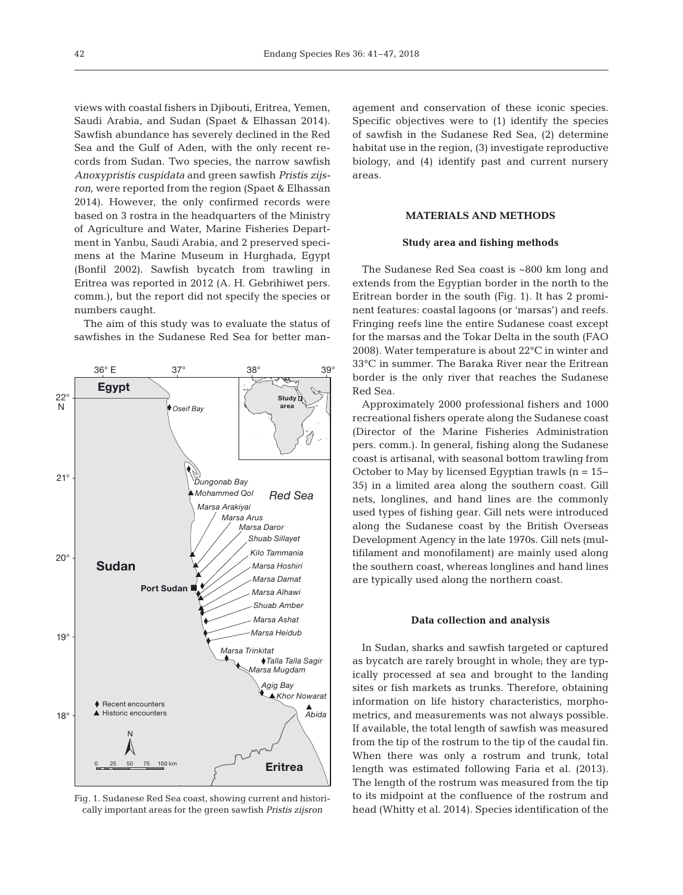views with coastal fishers in Djibouti, Eritrea, Yemen, Saudi Arabia, and Sudan (Spaet & Elhassan 2014). Sawfish abundance has severely declined in the Red Sea and the Gulf of Aden, with the only recent records from Sudan. Two species, the narrow sawfish *Anoxypristis cuspidata* and green sawfish *Pristis zijsron*, were reported from the region (Spaet & Elhassan 2014). However, the only confirmed records were based on 3 rostra in the headquarters of the Ministry of Agriculture and Water, Marine Fisheries Department in Yanbu, Saudi Arabia, and 2 preserved specimens at the Marine Museum in Hurghada, Egypt (Bonfil 2002). Sawfish bycatch from trawling in Eritrea was reported in 2012 (A. H. Gebrihiwet pers. comm.), but the report did not specify the species or numbers caught.

The aim of this study was to evaluate the status of sawfishes in the Sudanese Red Sea for better man-



Fig. 1. Sudanese Red Sea coast, showing current and historically important areas for the green sawfish *Pristis zijsron*

agement and conservation of these iconic species. Specific objectives were to (1) identify the species of sawfish in the Sudanese Red Sea, (2) determine habitat use in the region, (3) investigate reproductive biology, and (4) identify past and current nursery areas.

## **MATERIALS AND METHODS**

## **Study area and fishing methods**

The Sudanese Red Sea coast is ~800 km long and extends from the Egyptian border in the north to the Eritrean border in the south (Fig. 1). It has 2 prominent features: coastal lagoons (or 'marsas') and reefs. Fringing reefs line the entire Sudanese coast except for the marsas and the Tokar Delta in the south (FAO 2008). Water temperature is about 22°C in winter and 33°C in summer. The Baraka River near the Eritrean border is the only river that reaches the Sudanese Red Sea.

Approximately 2000 professional fishers and 1000 recreational fishers operate along the Sudanese coast (Director of the Marine Fisheries Administration pers. comm.). In general, fishing along the Sudanese coast is artisanal, with seasonal bottom trawling from October to May by licensed Egyptian trawls (n = 15− 35) in a limited area along the southern coast. Gill nets, longlines, and hand lines are the commonly used types of fishing gear. Gill nets were introduced along the Sudanese coast by the British Overseas Development Agency in the late 1970s. Gill nets (multifilament and monofilament) are mainly used along the southern coast, whereas longlines and hand lines are typically used along the northern coast.

#### **Data collection and analysis**

In Sudan, sharks and sawfish targeted or captured as bycatch are rarely brought in whole; they are typically processed at sea and brought to the landing sites or fish markets as trunks. Therefore, obtaining information on life history characteristics, morphometrics, and measurements was not always possible. If available, the total length of sawfish was measured from the tip of the rostrum to the tip of the caudal fin. When there was only a rostrum and trunk, total length was estimated following Faria et al. (2013). The length of the rostrum was measured from the tip to its midpoint at the confluence of the rostrum and head (Whitty et al. 2014). Species identification of the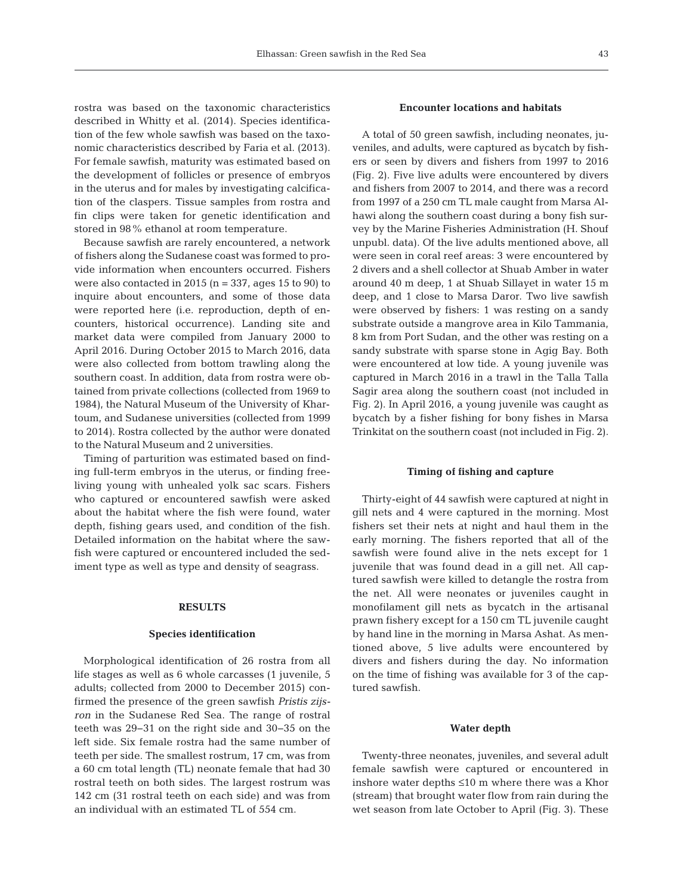rostra was based on the taxonomic characteristics described in Whitty et al. (2014). Species identification of the few whole sawfish was based on the taxonomic characteristics described by Faria et al. (2013). For female sawfish, maturity was estimated based on the development of follicles or presence of embryos in the uterus and for males by investigating calcification of the claspers. Tissue samples from rostra and fin clips were taken for genetic identification and stored in 98% ethanol at room temperature.

Because sawfish are rarely encountered, a network of fishers along the Sudanese coast was formed to provide information when encounters occurred. Fishers were also contacted in 2015 ( $n = 337$ , ages 15 to 90) to inquire about encounters, and some of those data were reported here (i.e. reproduction, depth of encounters, historical occurrence). Landing site and market data were compiled from January 2000 to April 2016. During October 2015 to March 2016, data were also collected from bottom trawling along the southern coast. In addition, data from rostra were obtained from private collections (collected from 1969 to 1984), the Natural Museum of the University of Khartoum, and Sudanese universities (collected from 1999 to 2014). Rostra collected by the author were donated to the Natural Museum and 2 universities.

Timing of parturition was estimated based on finding full-term embryos in the uterus, or finding freeliving young with unhealed yolk sac scars. Fishers who captured or encountered sawfish were asked about the habitat where the fish were found, water depth, fishing gears used, and condition of the fish. Detailed information on the habitat where the sawfish were captured or encountered included the sediment type as well as type and density of seagrass.

## **RESULTS**

#### **Species identification**

Morphological identification of 26 rostra from all life stages as well as 6 whole carcasses (1 juvenile, 5 adults; collected from 2000 to December 2015) confirmed the presence of the green sawfish *Pristis zijsron* in the Sudanese Red Sea. The range of rostral teeth was 29−31 on the right side and 30−35 on the left side. Six female rostra had the same number of teeth per side. The smallest rostrum, 17 cm, was from a 60 cm total length (TL) neonate female that had 30 rostral teeth on both sides. The largest rostrum was 142 cm (31 rostral teeth on each side) and was from an individual with an estimated TL of 554 cm.

## **Encounter locations and habitats**

A total of 50 green sawfish, including neonates, juveniles, and adults, were captured as bycatch by fishers or seen by divers and fishers from 1997 to 2016 (Fig. 2). Five live adults were encountered by divers and fishers from 2007 to 2014, and there was a record from 1997 of a 250 cm TL male caught from Marsa Alhawi along the southern coast during a bony fish survey by the Marine Fisheries Administration (H. Shouf unpubl. data). Of the live adults mentioned above, all were seen in coral reef areas: 3 were encountered by 2 divers and a shell collector at Shuab Amber in water around 40 m deep, 1 at Shuab Sillayet in water 15 m deep, and 1 close to Marsa Daror. Two live sawfish were observed by fishers: 1 was resting on a sandy substrate outside a mangrove area in Kilo Tammania, 8 km from Port Sudan, and the other was resting on a sandy substrate with sparse stone in Agig Bay. Both were encountered at low tide. A young juvenile was captured in March 2016 in a trawl in the Talla Talla Sagir area along the southern coast (not included in Fig. 2). In April 2016, a young juvenile was caught as bycatch by a fisher fishing for bony fishes in Marsa Trinkitat on the southern coast (not included in Fig. 2).

#### **Timing of fishing and capture**

Thirty-eight of 44 sawfish were captured at night in gill nets and 4 were captured in the morning. Most fishers set their nets at night and haul them in the early morning. The fishers reported that all of the sawfish were found alive in the nets except for 1 juvenile that was found dead in a gill net. All captured sawfish were killed to detangle the rostra from the net. All were neonates or juveniles caught in monofilament gill nets as bycatch in the artisanal prawn fishery except for a 150 cm TL juvenile caught by hand line in the morning in Marsa Ashat. As mentioned above, 5 live adults were encountered by divers and fishers during the day. No information on the time of fishing was available for 3 of the captured sawfish.

#### **Water depth**

Twenty-three neonates, juveniles, and several adult female sawfish were captured or encountered in inshore water depths ≤10 m where there was a Khor (stream) that brought water flow from rain during the wet season from late October to April (Fig. 3). These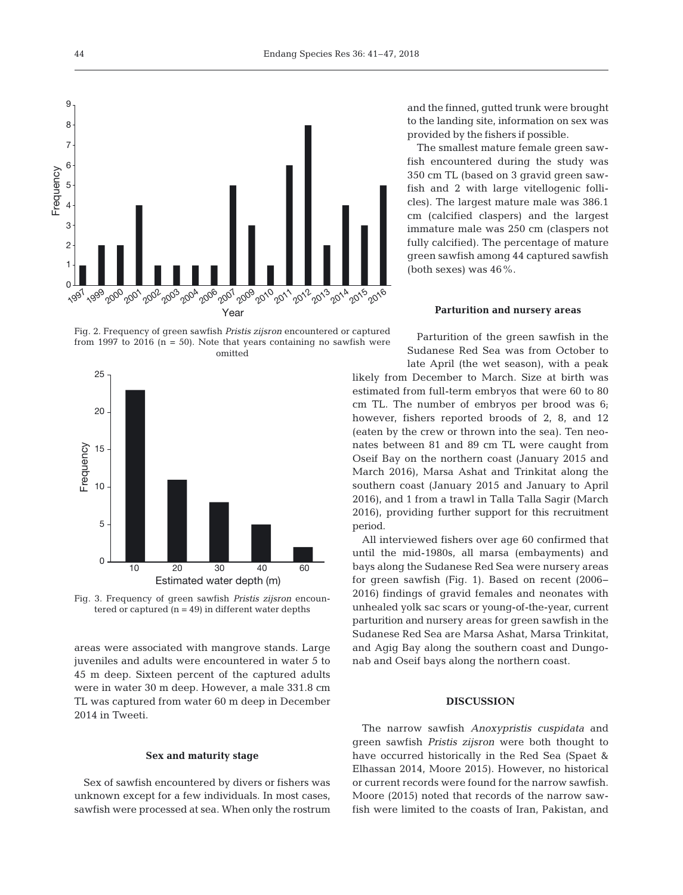

Fig. 2. Frequency of green sawfish *Pristis zijsron* encountered or captured from 1997 to 2016  $(n = 50)$ . Note that years containing no sawfish were omitted



Fig. 3. Frequency of green sawfish *Pristis zijsron* encountered or captured  $(n = 49)$  in different water depths

areas were associated with mangrove stands. Large juveniles and adults were encountered in water 5 to 45 m deep. Sixteen percent of the captured adults were in water 30 m deep. However, a male 331.8 cm TL was captured from water 60 m deep in December 2014 in Tweeti.

### **Sex and maturity stage**

Sex of sawfish encountered by divers or fishers was unknown except for a few individuals. In most cases, sawfish were processed at sea. When only the rostrum and the finned, gutted trunk were brought to the landing site, information on sex was provided by the fishers if possible.

The smallest mature female green sawfish encountered during the study was 350 cm TL (based on 3 gravid green sawfish and 2 with large vitellogenic follicles). The largest mature male was 386.1 cm (calcified claspers) and the largest immature male was 250 cm (claspers not fully calcified). The percentage of mature green sawfish among 44 captured sawfish (both sexes) was  $46\%$ .

#### **Parturition and nursery areas**

Parturition of the green sawfish in the Sudanese Red Sea was from October to late April (the wet season), with a peak likely from December to March. Size at birth was estimated from full-term embryos that were 60 to 80 cm TL. The number of embryos per brood was 6; however, fishers reported broods of 2, 8, and 12 (eaten by the crew or thrown into the sea). Ten neonates between 81 and 89 cm TL were caught from Oseif Bay on the northern coast (January 2015 and March 2016), Marsa Ashat and Trinkitat along the southern coast (January 2015 and January to April 2016), and 1 from a trawl in Talla Talla Sagir (March 2016), providing further support for this recruitment period.

All interviewed fishers over age 60 confirmed that until the mid-1980s, all marsa (embayments) and bays along the Sudanese Red Sea were nursery areas for green sawfish (Fig. 1). Based on recent (2006− 2016) findings of gravid females and neonates with unhealed yolk sac scars or young-of-the-year, current parturition and nursery areas for green sawfish in the Sudanese Red Sea are Marsa Ashat, Marsa Trinkitat, and Agig Bay along the southern coast and Dungonab and Oseif bays along the northern coast.

## **DISCUSSION**

The narrow sawfish *Anoxypristis cuspidata* and green sawfish *Pristis zijsron* were both thought to have occurred historically in the Red Sea (Spaet & Elhassan 2014, Moore 2015). However, no historical or current records were found for the narrow sawfish. Moore (2015) noted that records of the narrow sawfish were limited to the coasts of Iran, Pakistan, and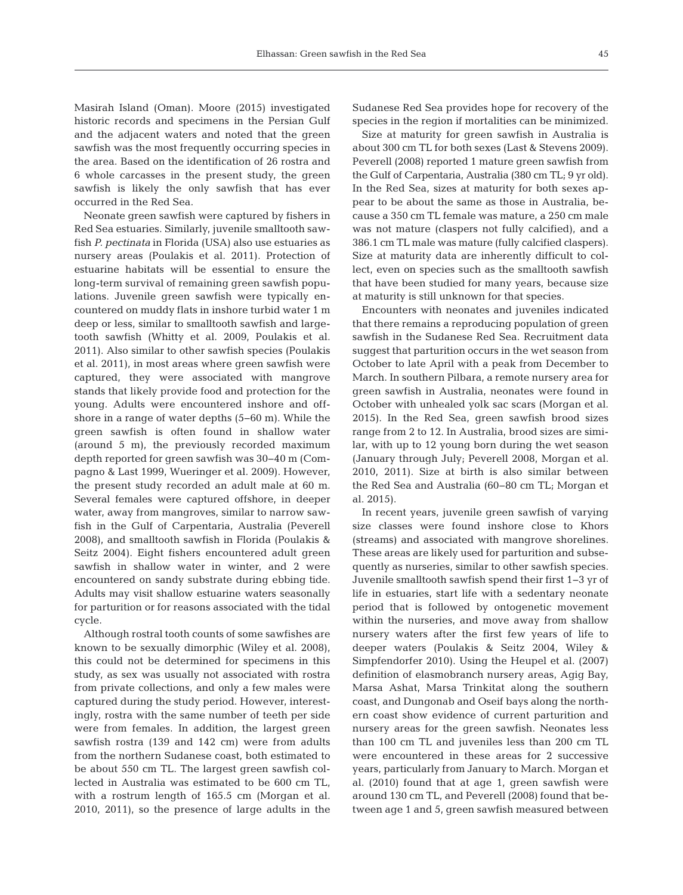Masirah Island (Oman). Moore (2015) investigated historic records and specimens in the Persian Gulf and the adjacent waters and noted that the green sawfish was the most frequently occurring species in the area. Based on the identification of 26 rostra and 6 whole carcasses in the present study, the green sawfish is likely the only sawfish that has ever occurred in the Red Sea.

Neonate green sawfish were captured by fishers in Red Sea estuaries. Similarly, juvenile smalltooth sawfish *P. pectinata* in Florida (USA) also use estuaries as nursery areas (Poulakis et al. 2011). Protection of estuarine habitats will be essential to ensure the long-term survival of remaining green sawfish populations. Juvenile green sawfish were typically encountered on muddy flats in inshore turbid water 1 m deep or less, similar to smalltooth sawfish and largetooth sawfish (Whitty et al. 2009, Poulakis et al. 2011). Also similar to other sawfish species (Poulakis et al. 2011), in most areas where green sawfish were captured, they were associated with mangrove stands that likely provide food and protection for the young. Adults were encountered inshore and offshore in a range of water depths (5−60 m). While the green sawfish is often found in shallow water (around 5 m), the previously recorded maximum depth reported for green sawfish was 30−40 m (Compagno & Last 1999, Wueringer et al. 2009). However, the present study recorded an adult male at 60 m. Several females were captured offshore, in deeper water, away from mangroves, similar to narrow sawfish in the Gulf of Carpentaria, Australia (Peverell 2008), and smalltooth sawfish in Florida (Poulakis & Seitz 2004). Eight fishers encountered adult green sawfish in shallow water in winter, and 2 were encountered on sandy substrate during ebbing tide. Adults may visit shallow estuarine waters seasonally for parturition or for reasons associated with the tidal cycle.

Although rostral tooth counts of some sawfishes are known to be sexually dimorphic (Wiley et al. 2008), this could not be determined for specimens in this study, as sex was usually not associated with rostra from private collections, and only a few males were captured during the study period. However, interestingly, rostra with the same number of teeth per side were from females. In addition, the largest green sawfish rostra (139 and 142 cm) were from adults from the northern Sudanese coast, both estimated to be about 550 cm TL. The largest green sawfish collected in Australia was estimated to be 600 cm TL, with a rostrum length of 165.5 cm (Morgan et al. 2010, 2011), so the presence of large adults in the

Sudanese Red Sea provides hope for recovery of the species in the region if mortalities can be minimized.

Size at maturity for green sawfish in Australia is about 300 cm TL for both sexes (Last & Stevens 2009). Peverell (2008) reported 1 mature green sawfish from the Gulf of Carpentaria, Australia (380 cm TL; 9 yr old). In the Red Sea, sizes at maturity for both sexes appear to be about the same as those in Australia, be cause a 350 cm TL female was mature, a 250 cm male was not mature (claspers not fully calcified), and a 386.1 cm TL male was mature (fully calcified claspers). Size at maturity data are inherently difficult to collect, even on species such as the smalltooth sawfish that have been studied for many years, because size at maturity is still unknown for that species.

Encounters with neonates and juveniles indicated that there remains a reproducing population of green sawfish in the Sudanese Red Sea. Recruitment data suggest that parturition occurs in the wet season from October to late April with a peak from December to March. In southern Pilbara, a remote nursery area for green sawfish in Australia, neonates were found in October with unhealed yolk sac scars (Morgan et al. 2015). In the Red Sea, green sawfish brood sizes range from 2 to 12. In Australia, brood sizes are similar, with up to 12 young born during the wet season (January through July; Peverell 2008, Morgan et al. 2010, 2011). Size at birth is also similar between the Red Sea and Australia (60−80 cm TL; Morgan et al. 2015).

In recent years, juvenile green sawfish of varying size classes were found inshore close to Khors (streams) and associated with mangrove shorelines. These areas are likely used for parturition and subsequently as nurseries, similar to other sawfish species. Juvenile smalltooth sawfish spend their first 1−3 yr of life in estuaries, start life with a sedentary neonate period that is followed by ontogenetic movement within the nurseries, and move away from shallow nursery waters after the first few years of life to deeper waters (Poulakis & Seitz 2004, Wiley & Simpfendorfer 2010). Using the Heupel et al. (2007) definition of elasmobranch nursery areas, Agig Bay, Marsa Ashat, Marsa Trinkitat along the southern coast, and Dungonab and Oseif bays along the northern coast show evidence of current parturition and nursery areas for the green sawfish. Neonates less than 100 cm TL and juveniles less than 200 cm TL were encountered in these areas for 2 successive years, particularly from January to March. Morgan et al. (2010) found that at age 1, green sawfish were around 130 cm TL, and Peverell (2008) found that be tween age 1 and 5, green sawfish measured between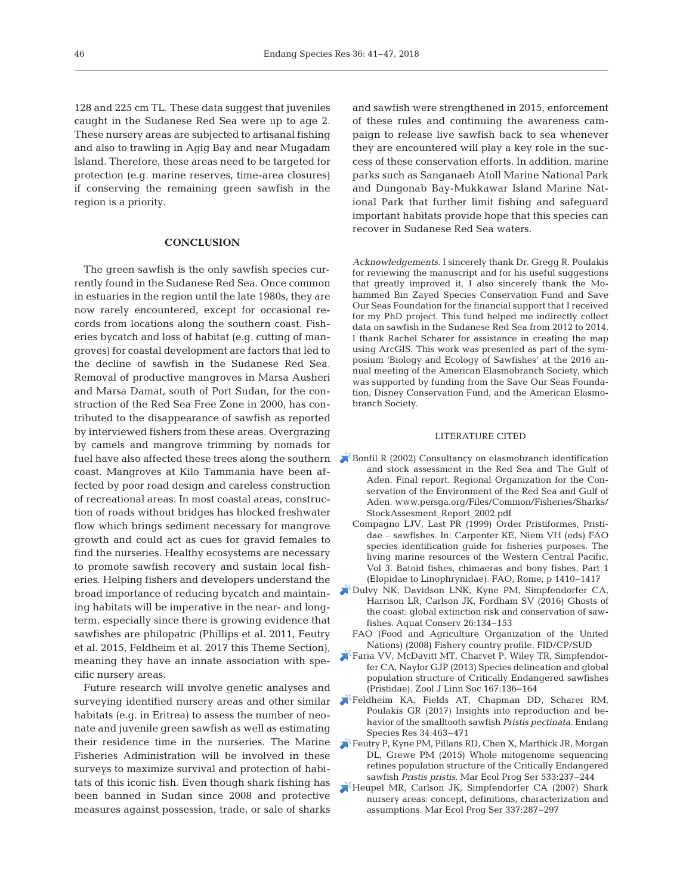128 and 225 cm TL. These data suggest that juveniles caught in the Sudanese Red Sea were up to age 2. These nursery areas are subjected to artisanal fishing and also to trawling in Agig Bay and near Mugadam Island. Therefore, these areas need to be targeted for protection (e.g. marine reserves, time-area closures) if conserving the remaining green sawfish in the region is a priority.

## **CONCLUSION**

The green sawfish is the only sawfish species currently found in the Sudanese Red Sea. Once common in estuaries in the region until the late 1980s, they are now rarely encountered, except for occasional records from locations along the southern coast. Fisheries bycatch and loss of habitat (e.g. cutting of mangroves) for coastal development are factors that led to the decline of sawfish in the Sudanese Red Sea. Removal of productive mangroves in Marsa Ausheri and Marsa Damat, south of Port Sudan, for the construction of the Red Sea Free Zone in 2000, has contributed to the disappearance of sawfish as reported by interviewed fishers from these areas. Overgrazing by camels and mangrove trimming by nomads for fuel have also affected these trees along the southern coast. Mangroves at Kilo Tammania have been af fected by poor road design and careless construction of recreational areas. In most coastal areas, construction of roads without bridges has blocked freshwater flow which brings sediment necessary for mangrove growth and could act as cues for gravid females to find the nurseries. Healthy ecosystems are necessary to promote sawfish recovery and sustain local fisheries. Helping fishers and developers understand the broad importance of reducing bycatch and maintaining habitats will be imperative in the near- and longterm, especially since there is growing evidence that sawfishes are philopatric (Phillips et al. 2011, Feutry et al. 2015, Feldheim et al. 2017 this Theme Section), meaning they have an innate association with specific nursery areas.

Future research will involve genetic analyses and surveying identified nursery areas and other similar habitats (e.g. in Eritrea) to assess the number of neonate and juvenile green sawfish as well as estimating their residence time in the nurseries. The Marine Fisheries Administration will be involved in these surveys to maximize survival and protection of habitats of this iconic fish. Even though shark fishing has been banned in Sudan since 2008 and protective measures against possession, trade, or sale of sharks

and sawfish were strengthened in 2015, enforcement of these rules and continuing the awareness campaign to release live sawfish back to sea whenever they are encountered will play a key role in the success of these conservation efforts. In addition, marine parks such as Sanganaeb Atoll Marine National Park and Dungonab Bay-Mukkawar Island Marine National Park that further limit fishing and safeguard important habitats provide hope that this species can recover in Sudanese Red Sea waters.

*Acknowledgements.* I sincerely thank Dr. Gregg R. Poulakis for reviewing the manuscript and for his useful suggestions that greatly improved it. I also sincerely thank the Mohammed Bin Zayed Species Conservation Fund and Save Our Seas Foundation for the financial support that I received for my PhD project. This fund helped me indirectly collect data on sawfish in the Sudanese Red Sea from 2012 to 2014. I thank Rachel Scharer for assistance in creating the map using ArcGIS. This work was presented as part of the symposium 'Biology and Ecology of Sawfishes' at the 2016 annual meeting of the American Elasmobranch Society, which was supported by funding from the Save Our Seas Foundation, Disney Conservation Fund, and the American Elasmobranch Society.

#### LITERATURE CITED

- [Bonfil R \(2002\) Consultancy on elasmobranch identification](www.persga.org/Files/Common/Fisheries/Sharks/StockAssesment_Report_2002.pdf) and stock assessment in the Red Sea and The Gulf of Aden. Final report. Regional Organization for the Conservation of the Environment of the Red Sea and Gulf of Aden. www.persga.org/Files/Common/Fisheries/Sharks/ Stock Assesment\_Report\_2002.pdf
	- Compagno LJV, Last PR (1999) Order Pristiformes, Pristidae – sawfishes. In:Carpenter KE, Niem VH (eds) FAO species identification guide for fisheries purposes. The living marine resources of the Western Central Pacific, Vol 3. Batoid fishes, chimaeras and bony fishes, Part 1 (Elopidae to Linophrynidae). FAO, Rome, p 1410−1417
- [Dulvy NK, Davidson LNK, Kyne PM, Simpfendorfer CA,](https://doi.org/10.1002/aqc.2525) Harrison LR, Carlson JK, Fordham SV (2016) Ghosts of the coast:global extinction risk and conservation of sawfishes. Aquat Conserv 26: 134−153
	- FAO (Food and Agriculture Organization of the United Nations) (2008) Fishery country profile. FID/CP/SUD
- [Faria VV, McDavitt MT, Charvet P, Wiley TR, Simpfendor](https://doi.org/10.1111/j.1096-3642.2012.00872.x)fer CA, Naylor GJP (2013) Species delineation and global population structure of Critically Endangered sawfishes (Pristidae). Zool J Linn Soc 167: 136−164
- [Feldheim KA, Fields AT, Chapman DD, Scharer RM,](https://doi.org/10.3354/esr00868) Poulakis GR (2017) Insights into reproduction and behavior of the smalltooth sawfish *Pristis pectinata.* Endang Species Res 34: 463–471
- [Feutry P, Kyne PM, Pillans RD, Chen X, Marthick JR, Morgan](https://doi.org/10.3354/meps11354) DL, Grewe PM (2015) Whole mitogenome sequencing refines population structure of the Critically Endangered sawfish *Pristis pristis.* Mar Ecol Prog Ser 533: 237−244
- [Heupel MR, Carlson JK, Simpfendorfer CA \(2007\) Shark](https://doi.org/10.3354/meps337287) nursery areas: concept, definitions, characterization and assumptions. Mar Ecol Prog Ser 337: 287−297